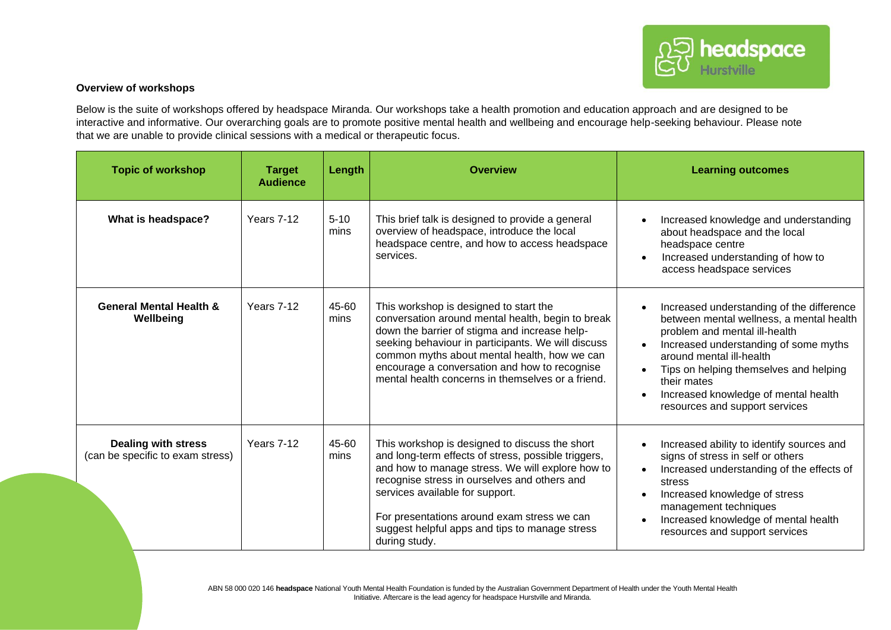## **Overview of workshops**

Below is the suite of workshops offered by headspace Miranda. Our workshops take a health promotion and education approach and are designed to be interactive and informative. Our overarching goals are to promote positive mental health and wellbeing and encourage help-seeking behaviour. Please note that we are unable to provide clinical sessions with a medical or therapeutic focus.

| <b>Topic of workshop</b>                                       | <b>Target</b><br><b>Audience</b> | Length           | <b>Overview</b>                                                                                                                                                                                                                                                                                                                                                | <b>Learning outcomes</b>                                                                                                                                                                                                                                                                                                       |
|----------------------------------------------------------------|----------------------------------|------------------|----------------------------------------------------------------------------------------------------------------------------------------------------------------------------------------------------------------------------------------------------------------------------------------------------------------------------------------------------------------|--------------------------------------------------------------------------------------------------------------------------------------------------------------------------------------------------------------------------------------------------------------------------------------------------------------------------------|
| What is headspace?                                             | Years 7-12                       | $5 - 10$<br>mins | This brief talk is designed to provide a general<br>overview of headspace, introduce the local<br>headspace centre, and how to access headspace<br>services.                                                                                                                                                                                                   | Increased knowledge and understanding<br>about headspace and the local<br>headspace centre<br>Increased understanding of how to<br>access headspace services                                                                                                                                                                   |
| <b>General Mental Health &amp;</b><br>Wellbeing                | Years 7-12                       | 45-60<br>mins    | This workshop is designed to start the<br>conversation around mental health, begin to break<br>down the barrier of stigma and increase help-<br>seeking behaviour in participants. We will discuss<br>common myths about mental health, how we can<br>encourage a conversation and how to recognise<br>mental health concerns in themselves or a friend.       | Increased understanding of the difference<br>between mental wellness, a mental health<br>problem and mental ill-health<br>Increased understanding of some myths<br>around mental ill-health<br>Tips on helping themselves and helping<br>their mates<br>Increased knowledge of mental health<br>resources and support services |
| <b>Dealing with stress</b><br>(can be specific to exam stress) | Years 7-12                       | 45-60<br>mins    | This workshop is designed to discuss the short<br>and long-term effects of stress, possible triggers,<br>and how to manage stress. We will explore how to<br>recognise stress in ourselves and others and<br>services available for support.<br>For presentations around exam stress we can<br>suggest helpful apps and tips to manage stress<br>during study. | Increased ability to identify sources and<br>signs of stress in self or others<br>Increased understanding of the effects of<br>stress<br>Increased knowledge of stress<br>management techniques<br>Increased knowledge of mental health<br>resources and support services                                                      |